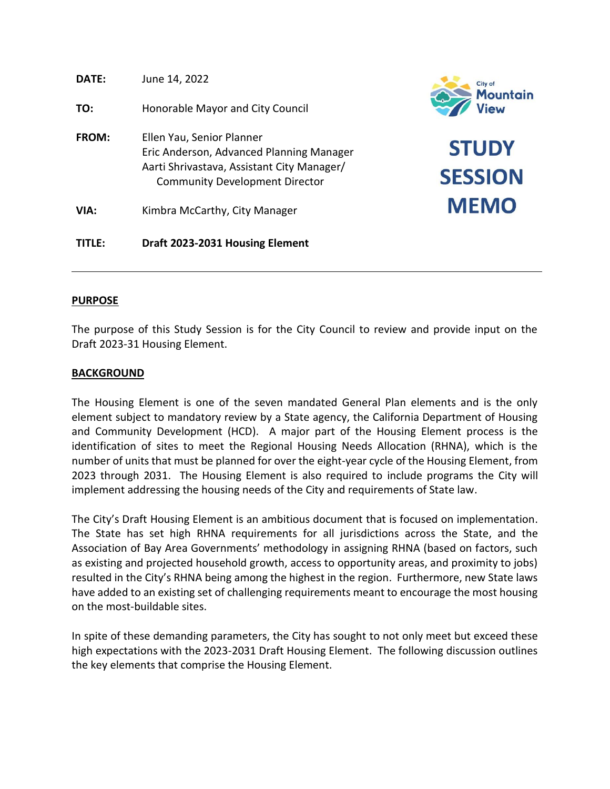| DATE:  | June 14, 2022                                                                                                                                                | City of<br><b>Mountai</b>      |
|--------|--------------------------------------------------------------------------------------------------------------------------------------------------------------|--------------------------------|
| TO:    | Honorable Mayor and City Council                                                                                                                             | View                           |
| FROM:  | Ellen Yau, Senior Planner<br>Eric Anderson, Advanced Planning Manager<br>Aarti Shrivastava, Assistant City Manager/<br><b>Community Development Director</b> | <b>STUDY</b><br><b>SESSION</b> |
| VIA:   | Kimbra McCarthy, City Manager                                                                                                                                | <b>MEMO</b>                    |
| TITLE: | Draft 2023-2031 Housing Element                                                                                                                              |                                |

n

# **PURPOSE**

The purpose of this Study Session is for the City Council to review and provide input on the Draft 2023-31 Housing Element.

# **BACKGROUND**

The Housing Element is one of the seven mandated General Plan elements and is the only element subject to mandatory review by a State agency, the California Department of Housing and Community Development (HCD). A major part of the Housing Element process is the identification of sites to meet the Regional Housing Needs Allocation (RHNA), which is the number of units that must be planned for over the eight-year cycle of the Housing Element, from 2023 through 2031. The Housing Element is also required to include programs the City will implement addressing the housing needs of the City and requirements of State law.

The City's Draft Housing Element is an ambitious document that is focused on implementation. The State has set high RHNA requirements for all jurisdictions across the State, and the Association of Bay Area Governments' methodology in assigning RHNA (based on factors, such as existing and projected household growth, access to opportunity areas, and proximity to jobs) resulted in the City's RHNA being among the highest in the region. Furthermore, new State laws have added to an existing set of challenging requirements meant to encourage the most housing on the most-buildable sites.

In spite of these demanding parameters, the City has sought to not only meet but exceed these high expectations with the 2023-2031 Draft Housing Element. The following discussion outlines the key elements that comprise the Housing Element.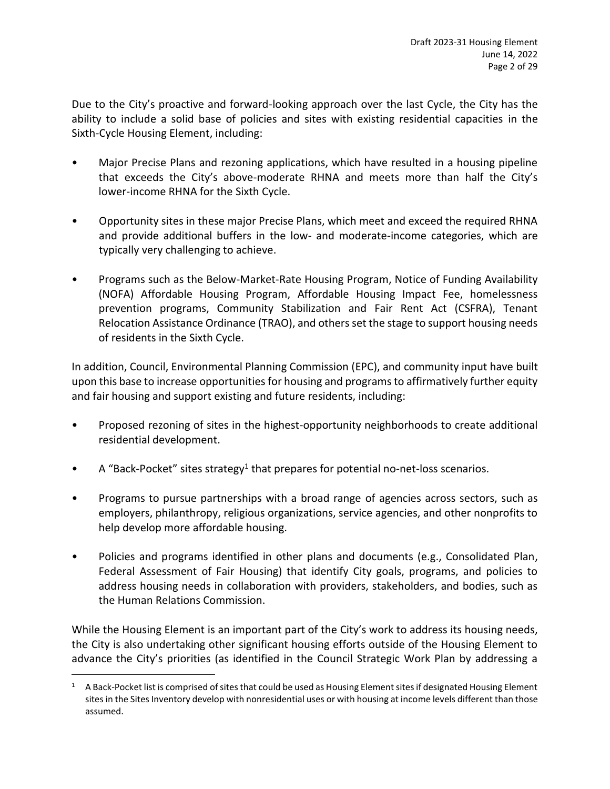Due to the City's proactive and forward-looking approach over the last Cycle, the City has the ability to include a solid base of policies and sites with existing residential capacities in the Sixth-Cycle Housing Element, including:

- Major Precise Plans and rezoning applications, which have resulted in a housing pipeline that exceeds the City's above-moderate RHNA and meets more than half the City's lower-income RHNA for the Sixth Cycle.
- Opportunity sites in these major Precise Plans, which meet and exceed the required RHNA and provide additional buffers in the low- and moderate-income categories, which are typically very challenging to achieve.
- Programs such as the Below-Market-Rate Housing Program, Notice of Funding Availability (NOFA) Affordable Housing Program, Affordable Housing Impact Fee, homelessness prevention programs, Community Stabilization and Fair Rent Act (CSFRA), Tenant Relocation Assistance Ordinance (TRAO), and others set the stage to support housing needs of residents in the Sixth Cycle.

In addition, Council, Environmental Planning Commission (EPC), and community input have built upon this base to increase opportunities for housing and programs to affirmatively further equity and fair housing and support existing and future residents, including:

- Proposed rezoning of sites in the highest-opportunity neighborhoods to create additional residential development.
- $\bullet$  A "Back-Pocket" sites strategy<sup>1</sup> that prepares for potential no-net-loss scenarios.
- Programs to pursue partnerships with a broad range of agencies across sectors, such as employers, philanthropy, religious organizations, service agencies, and other nonprofits to help develop more affordable housing.
- Policies and programs identified in other plans and documents (e.g., Consolidated Plan, Federal Assessment of Fair Housing) that identify City goals, programs, and policies to address housing needs in collaboration with providers, stakeholders, and bodies, such as the Human Relations Commission.

While the Housing Element is an important part of the City's work to address its housing needs, the City is also undertaking other significant housing efforts outside of the Housing Element to advance the City's priorities (as identified in the Council Strategic Work Plan by addressing a

<sup>&</sup>lt;sup>1</sup> A Back-Pocket list is comprised of sites that could be used as Housing Element sites if designated Housing Element sites in the Sites Inventory develop with nonresidential uses or with housing at income levels different than those assumed.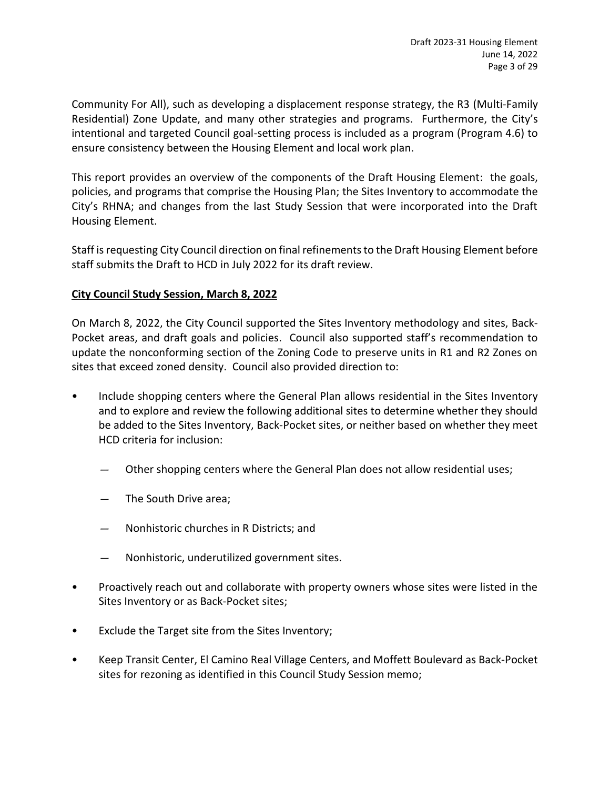Community For All), such as developing a displacement response strategy, the R3 (Multi-Family Residential) Zone Update, and many other strategies and programs. Furthermore, the City's intentional and targeted Council goal-setting process is included as a program (Program 4.6) to ensure consistency between the Housing Element and local work plan.

This report provides an overview of the components of the Draft Housing Element: the goals, policies, and programs that comprise the Housing Plan; the Sites Inventory to accommodate the City's RHNA; and changes from the last Study Session that were incorporated into the Draft Housing Element.

Staff is requesting City Council direction on final refinements to the Draft Housing Element before staff submits the Draft to HCD in July 2022 for its draft review.

# **City Council Study Session, March 8, 2022**

On March 8, 2022, the City Council supported the Sites Inventory methodology and sites, Back-Pocket areas, and draft goals and policies. Council also supported staff's recommendation to update the nonconforming section of the Zoning Code to preserve units in R1 and R2 Zones on sites that exceed zoned density. Council also provided direction to:

- Include shopping centers where the General Plan allows residential in the Sites Inventory and to explore and review the following additional sites to determine whether they should be added to the Sites Inventory, Back-Pocket sites, or neither based on whether they meet HCD criteria for inclusion:
	- Other shopping centers where the General Plan does not allow residential uses;
	- The South Drive area;
	- Nonhistoric churches in R Districts; and
	- Nonhistoric, underutilized government sites.
- Proactively reach out and collaborate with property owners whose sites were listed in the Sites Inventory or as Back-Pocket sites;
- Exclude the Target site from the Sites Inventory;
- Keep Transit Center, El Camino Real Village Centers, and Moffett Boulevard as Back-Pocket sites for rezoning as identified in this Council Study Session memo;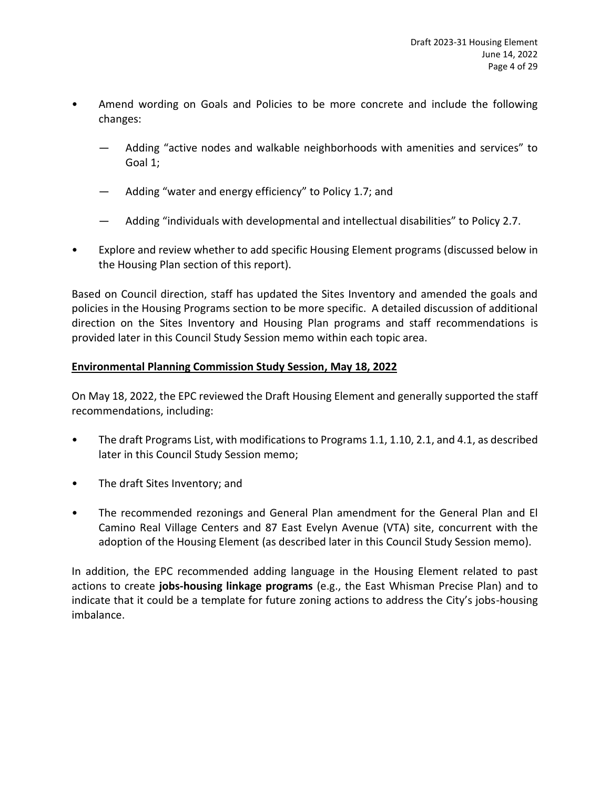- Amend wording on Goals and Policies to be more concrete and include the following changes:
	- Adding "active nodes and walkable neighborhoods with amenities and services" to Goal 1;
	- Adding "water and energy efficiency" to Policy 1.7; and
	- Adding "individuals with developmental and intellectual disabilities" to Policy 2.7.
- Explore and review whether to add specific Housing Element programs (discussed below in the Housing Plan section of this report).

Based on Council direction, staff has updated the Sites Inventory and amended the goals and policies in the Housing Programs section to be more specific. A detailed discussion of additional direction on the Sites Inventory and Housing Plan programs and staff recommendations is provided later in this Council Study Session memo within each topic area.

# **Environmental Planning Commission Study Session, May 18, 2022**

On May 18, 2022, the EPC reviewed the Draft Housing Element and generally supported the staff recommendations, including:

- The draft Programs List, with modifications to Programs 1.1, 1.10, 2.1, and 4.1, as described later in this Council Study Session memo;
- The draft Sites Inventory; and
- The recommended rezonings and General Plan amendment for the General Plan and El Camino Real Village Centers and 87 East Evelyn Avenue (VTA) site, concurrent with the adoption of the Housing Element (as described later in this Council Study Session memo).

In addition, the EPC recommended adding language in the Housing Element related to past actions to create **jobs-housing linkage programs** (e.g., the East Whisman Precise Plan) and to indicate that it could be a template for future zoning actions to address the City's jobs-housing imbalance.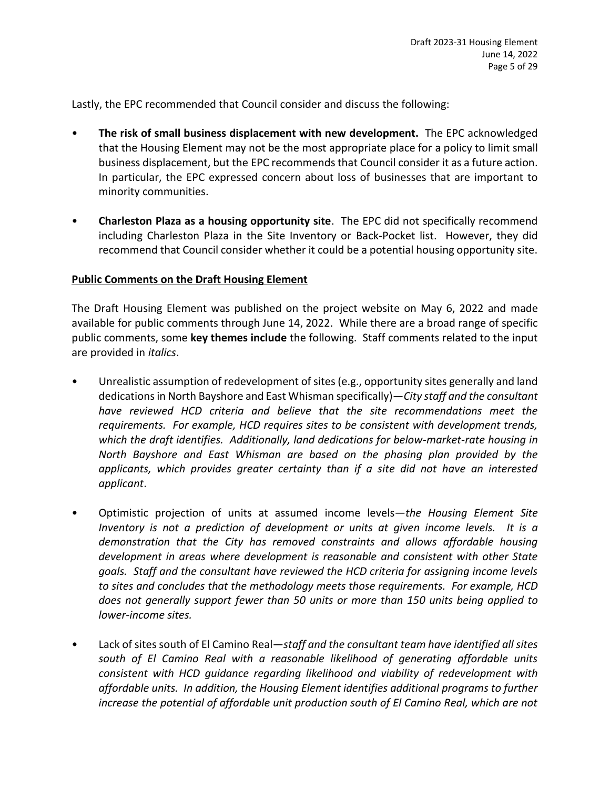Lastly, the EPC recommended that Council consider and discuss the following:

- **The risk of small business displacement with new development.** The EPC acknowledged that the Housing Element may not be the most appropriate place for a policy to limit small business displacement, but the EPC recommendsthat Council consider it as a future action. In particular, the EPC expressed concern about loss of businesses that are important to minority communities.
- **Charleston Plaza as a housing opportunity site**. The EPC did not specifically recommend including Charleston Plaza in the Site Inventory or Back-Pocket list. However, they did recommend that Council consider whether it could be a potential housing opportunity site.

# **Public Comments on the Draft Housing Element**

The Draft Housing Element was published on the project website on May 6, 2022 and made available for public comments through June 14, 2022. While there are a broad range of specific public comments, some **key themes include** the following. Staff comments related to the input are provided in *italics*.

- Unrealistic assumption of redevelopment of sites(e.g., opportunity sites generally and land dedications in North Bayshore and East Whisman specifically)—*City staff and the consultant have reviewed HCD criteria and believe that the site recommendations meet the requirements. For example, HCD requires sites to be consistent with development trends, which the draft identifies. Additionally, land dedications for below-market-rate housing in North Bayshore and East Whisman are based on the phasing plan provided by the applicants, which provides greater certainty than if a site did not have an interested applicant*.
- Optimistic projection of units at assumed income levels—*the Housing Element Site Inventory is not a prediction of development or units at given income levels. It is a demonstration that the City has removed constraints and allows affordable housing development in areas where development is reasonable and consistent with other State goals. Staff and the consultant have reviewed the HCD criteria for assigning income levels to sites and concludes that the methodology meets those requirements. For example, HCD does not generally support fewer than 50 units or more than 150 units being applied to lower-income sites.*
- Lack of sites south of El Camino Real—*staff and the consultant team have identified all sites south of El Camino Real with a reasonable likelihood of generating affordable units consistent with HCD guidance regarding likelihood and viability of redevelopment with affordable units. In addition, the Housing Element identifies additional programs to further increase the potential of affordable unit production south of El Camino Real, which are not*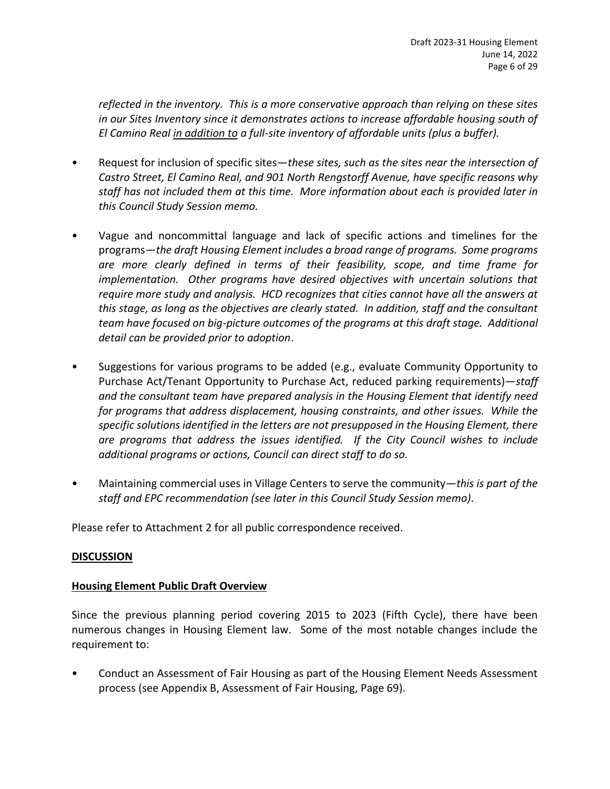*reflected in the inventory. This is a more conservative approach than relying on these sites in our Sites Inventory since it demonstrates actions to increase affordable housing south of El Camino Real in addition to a full-site inventory of affordable units (plus a buffer).*

- Request for inclusion of specific sites—*these sites, such as the sites near the intersection of Castro Street, El Camino Real, and 901 North Rengstorff Avenue, have specific reasons why staff has not included them at this time. More information about each is provided later in this Council Study Session memo.*
- Vague and noncommittal language and lack of specific actions and timelines for the programs—*the draft Housing Element includes a broad range of programs. Some programs are more clearly defined in terms of their feasibility, scope, and time frame for implementation. Other programs have desired objectives with uncertain solutions that require more study and analysis. HCD recognizes that cities cannot have all the answers at this stage, as long as the objectives are clearly stated. In addition, staff and the consultant team have focused on big-picture outcomes of the programs at this draft stage. Additional detail can be provided prior to adoption*.
- Suggestions for various programs to be added (e.g., evaluate Community Opportunity to Purchase Act/Tenant Opportunity to Purchase Act, reduced parking requirements)—*staff and the consultant team have prepared analysis in the Housing Element that identify need for programs that address displacement, housing constraints, and other issues. While the specific solutions identified in the letters are not presupposed in the Housing Element, there are programs that address the issues identified. If the City Council wishes to include additional programs or actions, Council can direct staff to do so.*
- Maintaining commercial uses in Village Centers to serve the community—*this is part of the staff and EPC recommendation (see later in this Council Study Session memo)*.

Please refer to Attachment 2 for all public correspondence received.

# **DISCUSSION**

# **Housing Element Public Draft Overview**

Since the previous planning period covering 2015 to 2023 (Fifth Cycle), there have been numerous changes in Housing Element law. Some of the most notable changes include the requirement to:

• Conduct an Assessment of Fair Housing as part of the Housing Element Needs Assessment process (see Appendix B, Assessment of Fair Housing, Page 69).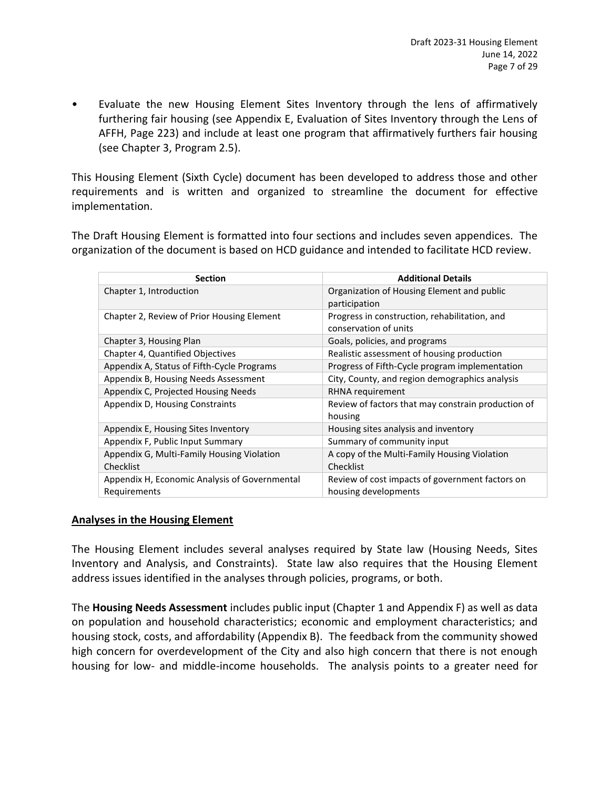• Evaluate the new Housing Element Sites Inventory through the lens of affirmatively furthering fair housing (see Appendix E, Evaluation of Sites Inventory through the Lens of AFFH, Page 223) and include at least one program that affirmatively furthers fair housing (see Chapter 3, Program 2.5).

This Housing Element (Sixth Cycle) document has been developed to address those and other requirements and is written and organized to streamline the document for effective implementation.

The Draft Housing Element is formatted into four sections and includes seven appendices. The organization of the document is based on HCD guidance and intended to facilitate HCD review.

| <b>Section</b>                                | <b>Additional Details</b>                                              |  |  |
|-----------------------------------------------|------------------------------------------------------------------------|--|--|
| Chapter 1, Introduction                       | Organization of Housing Element and public<br>participation            |  |  |
| Chapter 2, Review of Prior Housing Element    | Progress in construction, rehabilitation, and<br>conservation of units |  |  |
| Chapter 3, Housing Plan                       | Goals, policies, and programs                                          |  |  |
| <b>Chapter 4, Quantified Objectives</b>       | Realistic assessment of housing production                             |  |  |
| Appendix A, Status of Fifth-Cycle Programs    | Progress of Fifth-Cycle program implementation                         |  |  |
| Appendix B, Housing Needs Assessment          | City, County, and region demographics analysis                         |  |  |
| Appendix C, Projected Housing Needs           | RHNA requirement                                                       |  |  |
| Appendix D, Housing Constraints               | Review of factors that may constrain production of<br>housing          |  |  |
| Appendix E, Housing Sites Inventory           | Housing sites analysis and inventory                                   |  |  |
| Appendix F, Public Input Summary              | Summary of community input                                             |  |  |
| Appendix G, Multi-Family Housing Violation    | A copy of the Multi-Family Housing Violation                           |  |  |
| Checklist                                     | Checklist                                                              |  |  |
| Appendix H, Economic Analysis of Governmental | Review of cost impacts of government factors on                        |  |  |
| Requirements                                  | housing developments                                                   |  |  |

# **Analyses in the Housing Element**

The Housing Element includes several analyses required by State law (Housing Needs, Sites Inventory and Analysis, and Constraints). State law also requires that the Housing Element address issues identified in the analyses through policies, programs, or both.

The **Housing Needs Assessment** includes public input (Chapter 1 and Appendix F) as well as data on population and household characteristics; economic and employment characteristics; and housing stock, costs, and affordability (Appendix B). The feedback from the community showed high concern for overdevelopment of the City and also high concern that there is not enough housing for low- and middle-income households. The analysis points to a greater need for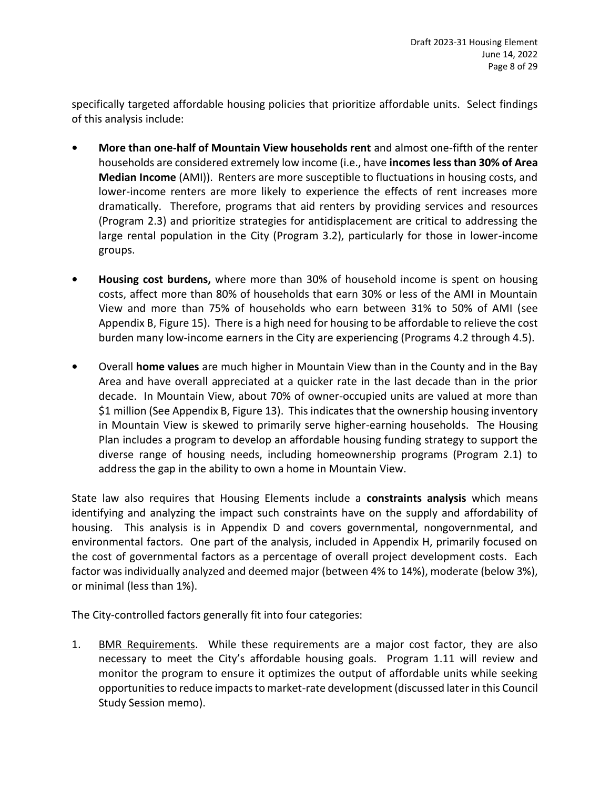specifically targeted affordable housing policies that prioritize affordable units. Select findings of this analysis include:

- **• More than one-half of Mountain View households rent** and almost one-fifth of the renter households are considered extremely low income (i.e., have **incomes less than 30% of Area Median Income** (AMI)). Renters are more susceptible to fluctuations in housing costs, and lower-income renters are more likely to experience the effects of rent increases more dramatically. Therefore, programs that aid renters by providing services and resources (Program 2.3) and prioritize strategies for antidisplacement are critical to addressing the large rental population in the City (Program 3.2), particularly for those in lower-income groups.
- **• Housing cost burdens,** where more than 30% of household income is spent on housing costs, affect more than 80% of households that earn 30% or less of the AMI in Mountain View and more than 75% of households who earn between 31% to 50% of AMI (see Appendix B, Figure 15). There is a high need for housing to be affordable to relieve the cost burden many low-income earners in the City are experiencing (Programs 4.2 through 4.5).
- **•** Overall **home values** are much higher in Mountain View than in the County and in the Bay Area and have overall appreciated at a quicker rate in the last decade than in the prior decade. In Mountain View, about 70% of owner-occupied units are valued at more than \$1 million (See Appendix B, Figure 13). This indicates that the ownership housing inventory in Mountain View is skewed to primarily serve higher-earning households. The Housing Plan includes a program to develop an affordable housing funding strategy to support the diverse range of housing needs, including homeownership programs (Program 2.1) to address the gap in the ability to own a home in Mountain View.

State law also requires that Housing Elements include a **constraints analysis** which means identifying and analyzing the impact such constraints have on the supply and affordability of housing. This analysis is in Appendix D and covers governmental, nongovernmental, and environmental factors. One part of the analysis, included in Appendix H, primarily focused on the cost of governmental factors as a percentage of overall project development costs. Each factor was individually analyzed and deemed major (between 4% to 14%), moderate (below 3%), or minimal (less than 1%).

The City-controlled factors generally fit into four categories:

1. BMR Requirements. While these requirements are a major cost factor, they are also necessary to meet the City's affordable housing goals. Program 1.11 will review and monitor the program to ensure it optimizes the output of affordable units while seeking opportunities to reduce impacts to market-rate development (discussed later in this Council Study Session memo).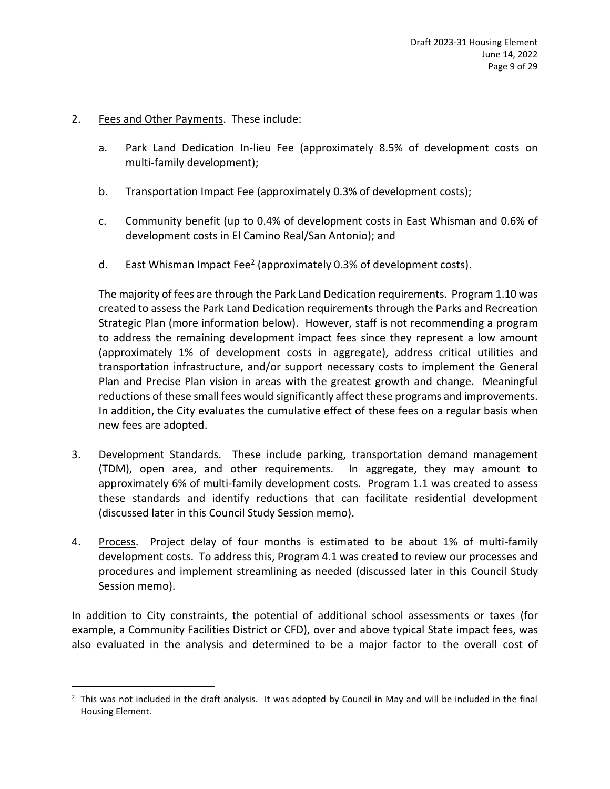# 2. Fees and Other Payments. These include:

- a. Park Land Dedication In-lieu Fee (approximately 8.5% of development costs on multi-family development);
- b. Transportation Impact Fee (approximately 0.3% of development costs);
- c. Community benefit (up to 0.4% of development costs in East Whisman and 0.6% of development costs in El Camino Real/San Antonio); and
- d. East Whisman Impact Fee<sup>2</sup> (approximately 0.3% of development costs).

The majority of fees are through the Park Land Dedication requirements. Program 1.10 was created to assess the Park Land Dedication requirements through the Parks and Recreation Strategic Plan (more information below). However, staff is not recommending a program to address the remaining development impact fees since they represent a low amount (approximately 1% of development costs in aggregate), address critical utilities and transportation infrastructure, and/or support necessary costs to implement the General Plan and Precise Plan vision in areas with the greatest growth and change. Meaningful reductions of these small fees would significantly affect these programs and improvements. In addition, the City evaluates the cumulative effect of these fees on a regular basis when new fees are adopted.

- 3. Development Standards. These include parking, transportation demand management (TDM), open area, and other requirements. In aggregate, they may amount to approximately 6% of multi-family development costs. Program 1.1 was created to assess these standards and identify reductions that can facilitate residential development (discussed later in this Council Study Session memo).
- 4. Process. Project delay of four months is estimated to be about 1% of multi-family development costs. To address this, Program 4.1 was created to review our processes and procedures and implement streamlining as needed (discussed later in this Council Study Session memo).

In addition to City constraints, the potential of additional school assessments or taxes (for example, a Community Facilities District or CFD), over and above typical State impact fees, was also evaluated in the analysis and determined to be a major factor to the overall cost of

 $<sup>2</sup>$  This was not included in the draft analysis. It was adopted by Council in May and will be included in the final</sup> Housing Element.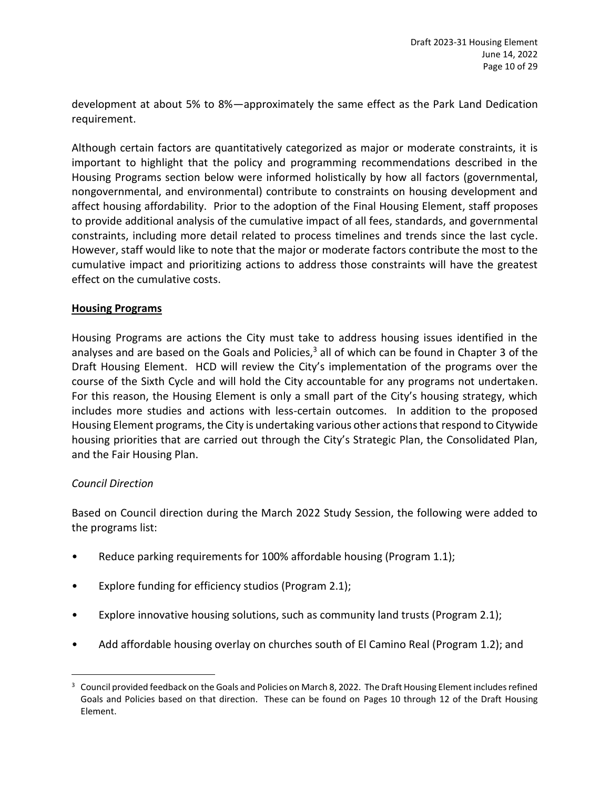development at about 5% to 8%—approximately the same effect as the Park Land Dedication requirement.

Although certain factors are quantitatively categorized as major or moderate constraints, it is important to highlight that the policy and programming recommendations described in the Housing Programs section below were informed holistically by how all factors (governmental, nongovernmental, and environmental) contribute to constraints on housing development and affect housing affordability. Prior to the adoption of the Final Housing Element, staff proposes to provide additional analysis of the cumulative impact of all fees, standards, and governmental constraints, including more detail related to process timelines and trends since the last cycle. However, staff would like to note that the major or moderate factors contribute the most to the cumulative impact and prioritizing actions to address those constraints will have the greatest effect on the cumulative costs.

# **Housing Programs**

Housing Programs are actions the City must take to address housing issues identified in the analyses and are based on the Goals and Policies,<sup>3</sup> all of which can be found in Chapter 3 of the Draft Housing Element. HCD will review the City's implementation of the programs over the course of the Sixth Cycle and will hold the City accountable for any programs not undertaken. For this reason, the Housing Element is only a small part of the City's housing strategy, which includes more studies and actions with less-certain outcomes. In addition to the proposed Housing Element programs, the City is undertaking various other actions that respond to Citywide housing priorities that are carried out through the City's Strategic Plan, the Consolidated Plan, and the Fair Housing Plan.

# *Council Direction*

Based on Council direction during the March 2022 Study Session, the following were added to the programs list:

- Reduce parking requirements for 100% affordable housing (Program 1.1);
- Explore funding for efficiency studios (Program 2.1);
- Explore innovative housing solutions, such as community land trusts (Program 2.1);
- Add affordable housing overlay on churches south of El Camino Real (Program 1.2); and

<sup>&</sup>lt;sup>3</sup> Council provided feedback on the Goals and Policies on March 8, 2022. The Draft Housing Element includes refined Goals and Policies based on that direction. These can be found on Pages 10 through 12 of the Draft Housing Element.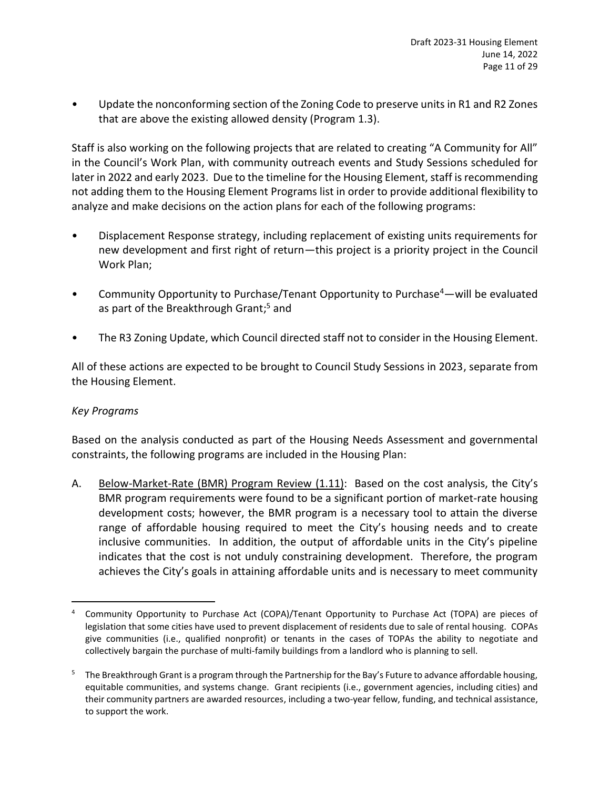• Update the nonconforming section of the Zoning Code to preserve units in R1 and R2 Zones that are above the existing allowed density (Program 1.3).

Staff is also working on the following projects that are related to creating "A Community for All" in the Council's Work Plan, with community outreach events and Study Sessions scheduled for later in 2022 and early 2023. Due to the timeline for the Housing Element, staff is recommending not adding them to the Housing Element Programs list in order to provide additional flexibility to analyze and make decisions on the action plans for each of the following programs:

- Displacement Response strategy, including replacement of existing units requirements for new development and first right of return—this project is a priority project in the Council Work Plan;
- Community Opportunity to Purchase/Tenant Opportunity to Purchase<sup>4</sup>—will be evaluated as part of the Breakthrough Grant; <sup>5</sup> and
- The R3 Zoning Update, which Council directed staff not to consider in the Housing Element.

All of these actions are expected to be brought to Council Study Sessions in 2023, separate from the Housing Element.

# *Key Programs*

Based on the analysis conducted as part of the Housing Needs Assessment and governmental constraints, the following programs are included in the Housing Plan:

A. Below-Market-Rate (BMR) Program Review (1.11): Based on the cost analysis, the City's BMR program requirements were found to be a significant portion of market-rate housing development costs; however, the BMR program is a necessary tool to attain the diverse range of affordable housing required to meet the City's housing needs and to create inclusive communities. In addition, the output of affordable units in the City's pipeline indicates that the cost is not unduly constraining development. Therefore, the program achieves the City's goals in attaining affordable units and is necessary to meet community

<sup>4</sup> Community Opportunity to Purchase Act (COPA)/Tenant Opportunity to Purchase Act (TOPA) are pieces of legislation that some cities have used to prevent displacement of residents due to sale of rental housing. COPAs give communities (i.e., qualified nonprofit) or tenants in the cases of TOPAs the ability to negotiate and collectively bargain the purchase of multi-family buildings from a landlord who is planning to sell.

<sup>&</sup>lt;sup>5</sup> The Breakthrough Grant is a program through the Partnership for the Bay's Future to advance affordable housing, equitable communities, and systems change. Grant recipients (i.e., government agencies, including cities) and their community partners are awarded resources, including a two-year fellow, funding, and technical assistance, to support the work.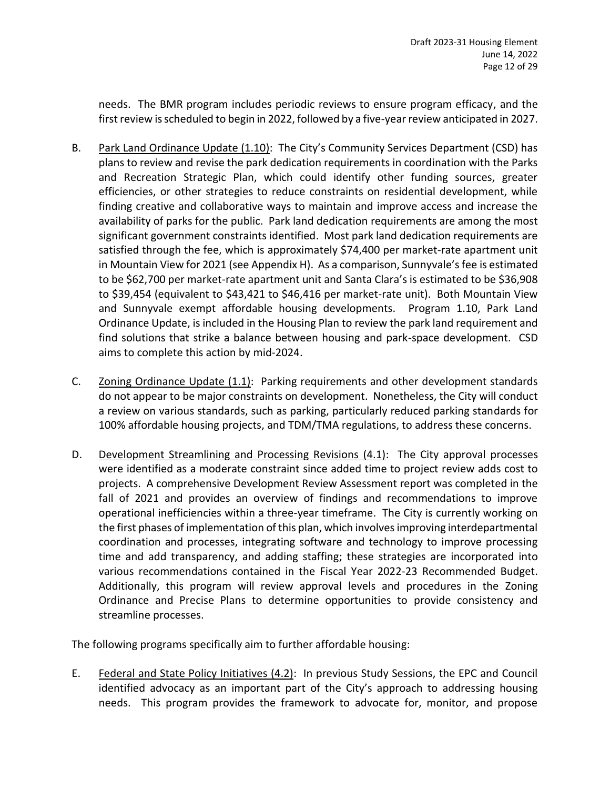needs. The BMR program includes periodic reviews to ensure program efficacy, and the first review is scheduled to begin in 2022, followed by a five-year review anticipated in 2027.

- B. Park Land Ordinance Update (1.10): The City's Community Services Department (CSD) has plans to review and revise the park dedication requirements in coordination with the Parks and Recreation Strategic Plan, which could identify other funding sources, greater efficiencies, or other strategies to reduce constraints on residential development, while finding creative and collaborative ways to maintain and improve access and increase the availability of parks for the public. Park land dedication requirements are among the most significant government constraints identified. Most park land dedication requirements are satisfied through the fee, which is approximately \$74,400 per market-rate apartment unit in Mountain View for 2021 (see Appendix H). As a comparison, Sunnyvale's fee is estimated to be \$62,700 per market-rate apartment unit and Santa Clara's is estimated to be \$36,908 to \$39,454 (equivalent to \$43,421 to \$46,416 per market-rate unit). Both Mountain View and Sunnyvale exempt affordable housing developments. Program 1.10, Park Land Ordinance Update, is included in the Housing Plan to review the park land requirement and find solutions that strike a balance between housing and park-space development. CSD aims to complete this action by mid-2024.
- C. Zoning Ordinance Update (1.1): Parking requirements and other development standards do not appear to be major constraints on development. Nonetheless, the City will conduct a review on various standards, such as parking, particularly reduced parking standards for 100% affordable housing projects, and TDM/TMA regulations, to address these concerns.
- D. Development Streamlining and Processing Revisions (4.1): The City approval processes were identified as a moderate constraint since added time to project review adds cost to projects. A comprehensive Development Review Assessment report was completed in the fall of 2021 and provides an overview of findings and recommendations to improve operational inefficiencies within a three-year timeframe. The City is currently working on the first phases of implementation of this plan, which involves improving interdepartmental coordination and processes, integrating software and technology to improve processing time and add transparency, and adding staffing; these strategies are incorporated into various recommendations contained in the Fiscal Year 2022-23 Recommended Budget. Additionally, this program will review approval levels and procedures in the Zoning Ordinance and Precise Plans to determine opportunities to provide consistency and streamline processes.

The following programs specifically aim to further affordable housing:

E. Federal and State Policy Initiatives (4.2): In previous Study Sessions, the EPC and Council identified advocacy as an important part of the City's approach to addressing housing needs. This program provides the framework to advocate for, monitor, and propose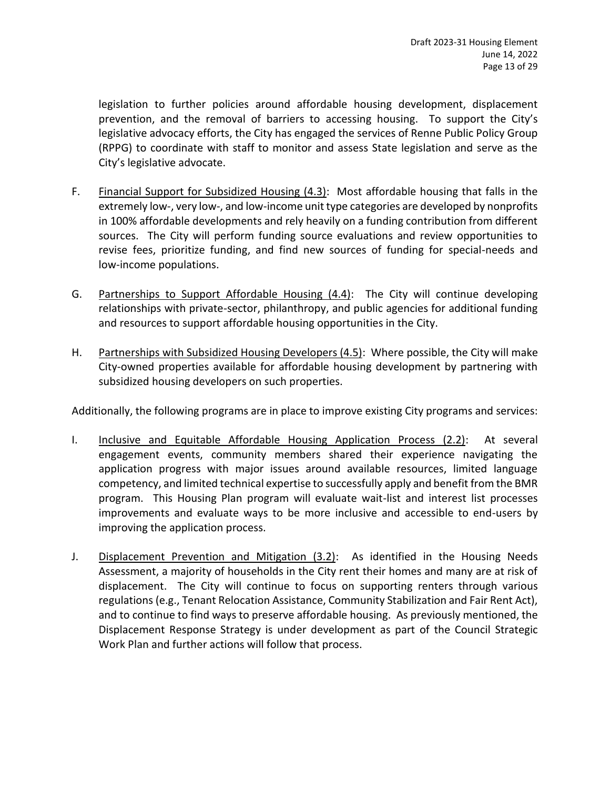legislation to further policies around affordable housing development, displacement prevention, and the removal of barriers to accessing housing. To support the City's legislative advocacy efforts, the City has engaged the services of Renne Public Policy Group (RPPG) to coordinate with staff to monitor and assess State legislation and serve as the City's legislative advocate.

- F. Financial Support for Subsidized Housing (4.3): Most affordable housing that falls in the extremely low-, very low-, and low-income unit type categories are developed by nonprofits in 100% affordable developments and rely heavily on a funding contribution from different sources. The City will perform funding source evaluations and review opportunities to revise fees, prioritize funding, and find new sources of funding for special-needs and low-income populations.
- G. Partnerships to Support Affordable Housing (4.4): The City will continue developing relationships with private-sector, philanthropy, and public agencies for additional funding and resources to support affordable housing opportunities in the City.
- H. Partnerships with Subsidized Housing Developers (4.5): Where possible, the City will make City-owned properties available for affordable housing development by partnering with subsidized housing developers on such properties.

Additionally, the following programs are in place to improve existing City programs and services:

- I. Inclusive and Equitable Affordable Housing Application Process (2.2): At several engagement events, community members shared their experience navigating the application progress with major issues around available resources, limited language competency, and limited technical expertise to successfully apply and benefit from the BMR program. This Housing Plan program will evaluate wait-list and interest list processes improvements and evaluate ways to be more inclusive and accessible to end-users by improving the application process.
- J. Displacement Prevention and Mitigation (3.2): As identified in the Housing Needs Assessment, a majority of households in the City rent their homes and many are at risk of displacement. The City will continue to focus on supporting renters through various regulations (e.g., Tenant Relocation Assistance, Community Stabilization and Fair Rent Act), and to continue to find ways to preserve affordable housing. As previously mentioned, the Displacement Response Strategy is under development as part of the Council Strategic Work Plan and further actions will follow that process.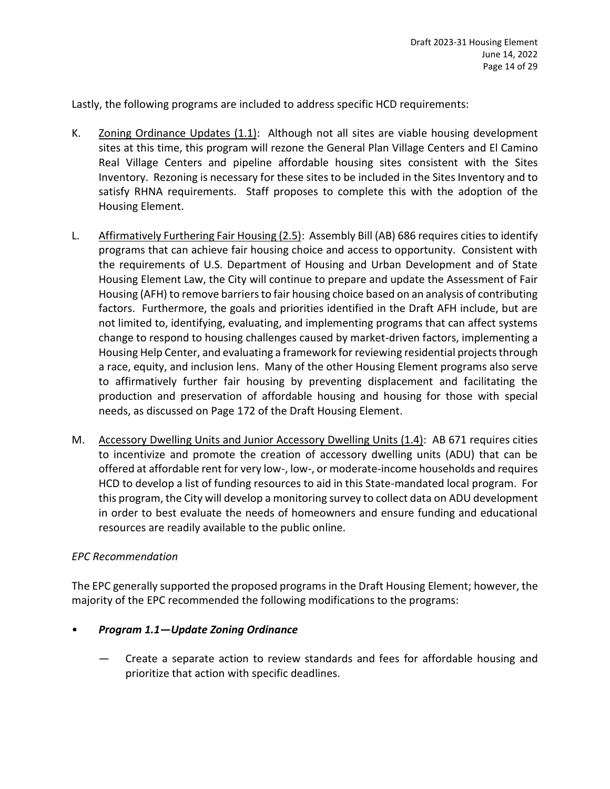Lastly, the following programs are included to address specific HCD requirements:

- K. Zoning Ordinance Updates (1.1): Although not all sites are viable housing development sites at this time, this program will rezone the General Plan Village Centers and El Camino Real Village Centers and pipeline affordable housing sites consistent with the Sites Inventory. Rezoning is necessary for these sites to be included in the Sites Inventory and to satisfy RHNA requirements. Staff proposes to complete this with the adoption of the Housing Element.
- L. Affirmatively Furthering Fair Housing (2.5): Assembly Bill (AB) 686 requires cities to identify programs that can achieve fair housing choice and access to opportunity. Consistent with the requirements of U.S. Department of Housing and Urban Development and of State Housing Element Law, the City will continue to prepare and update the Assessment of Fair Housing (AFH) to remove barriers to fair housing choice based on an analysis of contributing factors. Furthermore, the goals and priorities identified in the Draft AFH include, but are not limited to, identifying, evaluating, and implementing programs that can affect systems change to respond to housing challenges caused by market-driven factors, implementing a Housing Help Center, and evaluating a framework for reviewing residential projects through a race, equity, and inclusion lens. Many of the other Housing Element programs also serve to affirmatively further fair housing by preventing displacement and facilitating the production and preservation of affordable housing and housing for those with special needs, as discussed on Page 172 of the Draft Housing Element.
- M. Accessory Dwelling Units and Junior Accessory Dwelling Units (1.4): AB 671 requires cities to incentivize and promote the creation of accessory dwelling units (ADU) that can be offered at affordable rent for very low-, low-, or moderate-income households and requires HCD to develop a list of funding resources to aid in this State-mandated local program. For this program, the City will develop a monitoring survey to collect data on ADU development in order to best evaluate the needs of homeowners and ensure funding and educational resources are readily available to the public online.

# *EPC Recommendation*

The EPC generally supported the proposed programs in the Draft Housing Element; however, the majority of the EPC recommended the following modifications to the programs:

# • *Program 1.1—Update Zoning Ordinance*

— Create a separate action to review standards and fees for affordable housing and prioritize that action with specific deadlines.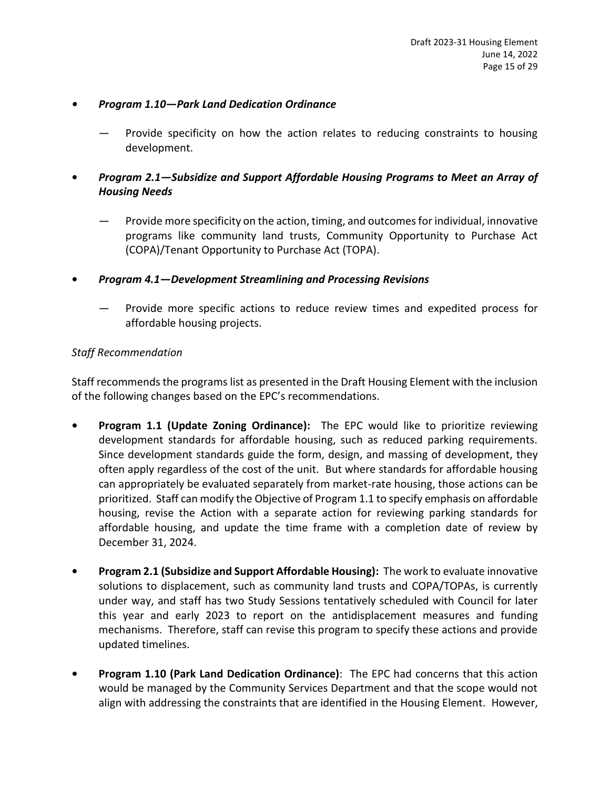# *• Program 1.10—Park Land Dedication Ordinance*

- Provide specificity on how the action relates to reducing constraints to housing development.
- **•** *Program 2.1—Subsidize and Support Affordable Housing Programs to Meet an Array of Housing Needs*
	- Provide more specificity on the action, timing, and outcomes for individual, innovative programs like community land trusts, Community Opportunity to Purchase Act (COPA)/Tenant Opportunity to Purchase Act (TOPA).
- **•** *Program 4.1—Development Streamlining and Processing Revisions*
	- Provide more specific actions to reduce review times and expedited process for affordable housing projects.

# *Staff Recommendation*

Staff recommends the programs list as presented in the Draft Housing Element with the inclusion of the following changes based on the EPC's recommendations.

- **• Program 1.1 (Update Zoning Ordinance):** The EPC would like to prioritize reviewing development standards for affordable housing, such as reduced parking requirements. Since development standards guide the form, design, and massing of development, they often apply regardless of the cost of the unit. But where standards for affordable housing can appropriately be evaluated separately from market-rate housing, those actions can be prioritized. Staff can modify the Objective of Program 1.1 to specify emphasis on affordable housing, revise the Action with a separate action for reviewing parking standards for affordable housing, and update the time frame with a completion date of review by December 31, 2024.
- **• Program 2.1 (Subsidize and Support Affordable Housing):** The work to evaluate innovative solutions to displacement, such as community land trusts and COPA/TOPAs, is currently under way, and staff has two Study Sessions tentatively scheduled with Council for later this year and early 2023 to report on the antidisplacement measures and funding mechanisms. Therefore, staff can revise this program to specify these actions and provide updated timelines.
- **• Program 1.10 (Park Land Dedication Ordinance)**: The EPC had concerns that this action would be managed by the Community Services Department and that the scope would not align with addressing the constraints that are identified in the Housing Element. However,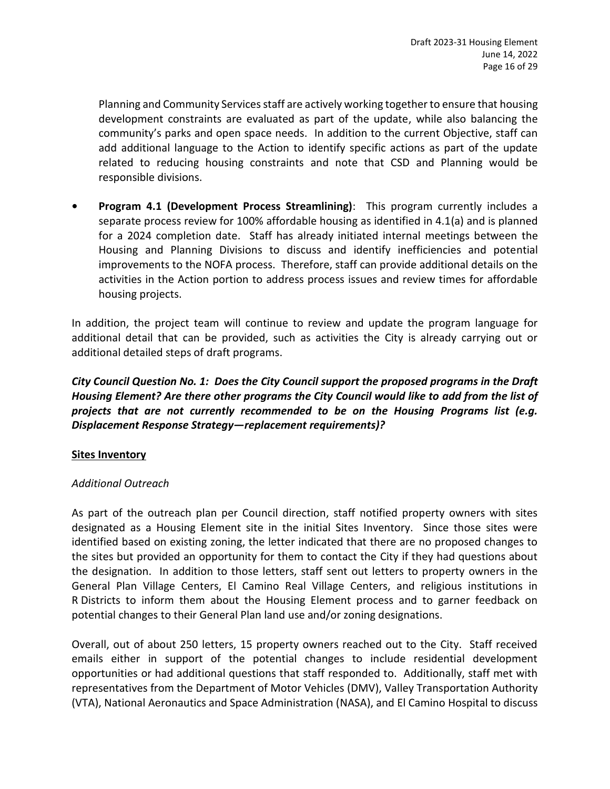Planning and Community Services staff are actively working together to ensure that housing development constraints are evaluated as part of the update, while also balancing the community's parks and open space needs. In addition to the current Objective, staff can add additional language to the Action to identify specific actions as part of the update related to reducing housing constraints and note that CSD and Planning would be responsible divisions.

**• Program 4.1 (Development Process Streamlining)**: This program currently includes a separate process review for 100% affordable housing as identified in 4.1(a) and is planned for a 2024 completion date. Staff has already initiated internal meetings between the Housing and Planning Divisions to discuss and identify inefficiencies and potential improvements to the NOFA process. Therefore, staff can provide additional details on the activities in the Action portion to address process issues and review times for affordable housing projects.

In addition, the project team will continue to review and update the program language for additional detail that can be provided, such as activities the City is already carrying out or additional detailed steps of draft programs.

*City Council Question No. 1: Does the City Council support the proposed programs in the Draft Housing Element? Are there other programs the City Council would like to add from the list of projects that are not currently recommended to be on the Housing Programs list (e.g. Displacement Response Strategy—replacement requirements)?*

# **Sites Inventory**

# *Additional Outreach*

As part of the outreach plan per Council direction, staff notified property owners with sites designated as a Housing Element site in the initial Sites Inventory. Since those sites were identified based on existing zoning, the letter indicated that there are no proposed changes to the sites but provided an opportunity for them to contact the City if they had questions about the designation. In addition to those letters, staff sent out letters to property owners in the General Plan Village Centers, El Camino Real Village Centers, and religious institutions in R Districts to inform them about the Housing Element process and to garner feedback on potential changes to their General Plan land use and/or zoning designations.

Overall, out of about 250 letters, 15 property owners reached out to the City. Staff received emails either in support of the potential changes to include residential development opportunities or had additional questions that staff responded to. Additionally, staff met with representatives from the Department of Motor Vehicles (DMV), Valley Transportation Authority (VTA), National Aeronautics and Space Administration (NASA), and El Camino Hospital to discuss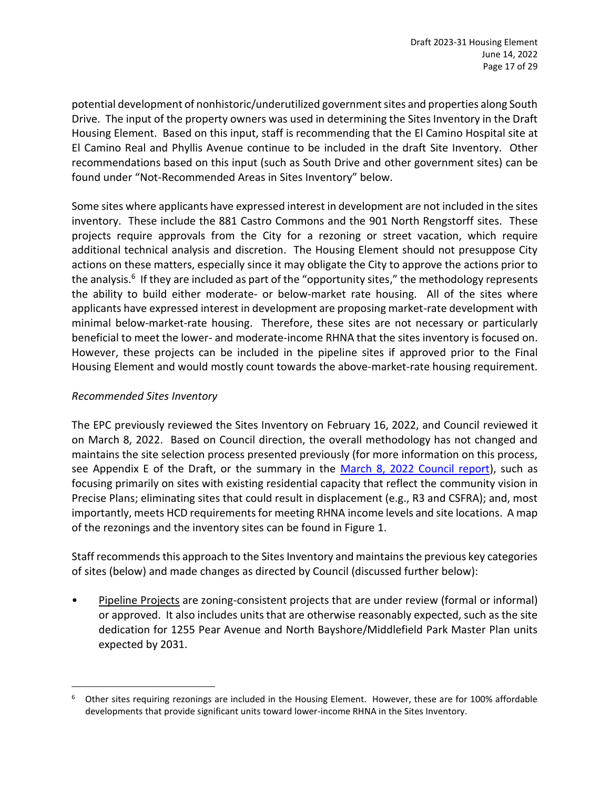potential development of nonhistoric/underutilized government sites and properties along South Drive. The input of the property owners was used in determining the Sites Inventory in the Draft Housing Element. Based on this input, staff is recommending that the El Camino Hospital site at El Camino Real and Phyllis Avenue continue to be included in the draft Site Inventory. Other recommendations based on this input (such as South Drive and other government sites) can be found under "Not-Recommended Areas in Sites Inventory" below.

Some sites where applicants have expressed interest in development are not included in the sites inventory. These include the 881 Castro Commons and the 901 North Rengstorff sites. These projects require approvals from the City for a rezoning or street vacation, which require additional technical analysis and discretion. The Housing Element should not presuppose City actions on these matters, especially since it may obligate the City to approve the actions prior to the analysis.<sup>6</sup> If they are included as part of the "opportunity sites," the methodology represents the ability to build either moderate- or below-market rate housing. All of the sites where applicants have expressed interest in development are proposing market-rate development with minimal below-market-rate housing. Therefore, these sites are not necessary or particularly beneficial to meet the lower- and moderate-income RHNA that the sites inventory is focused on. However, these projects can be included in the pipeline sites if approved prior to the Final Housing Element and would mostly count towards the above-market-rate housing requirement.

# *Recommended Sites Inventory*

The EPC previously reviewed the Sites Inventory on February 16, 2022, and Council reviewed it on March 8, 2022. Based on Council direction, the overall methodology has not changed and maintains the site selection process presented previously (for more information on this process, see Appendix E of the Draft, or the summary in the [March 8, 2022 Council report\)](https://mountainview.legistar.com/LegislationDetail.aspx?ID=5476573&GUID=6467D352-7003-45E9-AE79-02B3E7592CBC&Options=&Search=), such as focusing primarily on sites with existing residential capacity that reflect the community vision in Precise Plans; eliminating sites that could result in displacement (e.g., R3 and CSFRA); and, most importantly, meets HCD requirements for meeting RHNA income levels and site locations. A map of the rezonings and the inventory sites can be found in Figure 1.

Staff recommends this approach to the Sites Inventory and maintains the previous key categories of sites (below) and made changes as directed by Council (discussed further below):

Pipeline Projects are zoning-consistent projects that are under review (formal or informal) or approved. It also includes units that are otherwise reasonably expected, such as the site dedication for 1255 Pear Avenue and North Bayshore/Middlefield Park Master Plan units expected by 2031.

 $6$  Other sites requiring rezonings are included in the Housing Element. However, these are for 100% affordable developments that provide significant units toward lower-income RHNA in the Sites Inventory.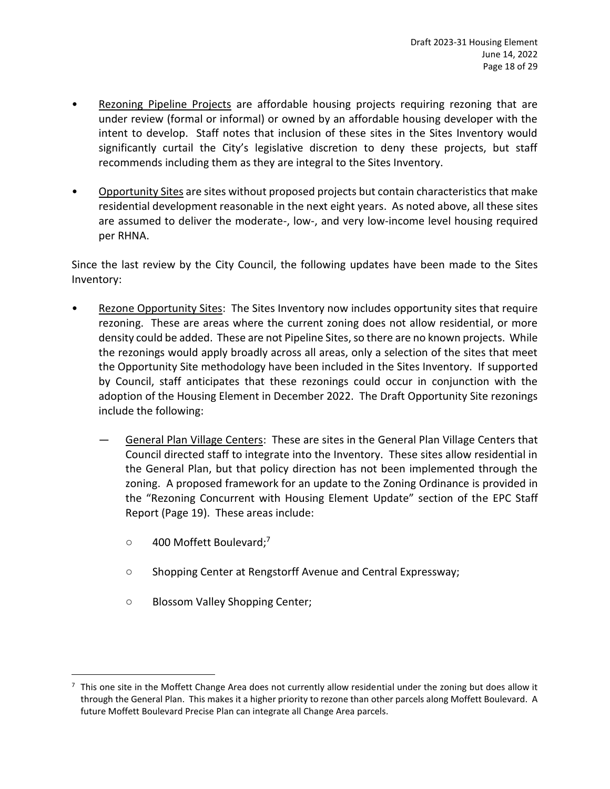- Rezoning Pipeline Projects are affordable housing projects requiring rezoning that are under review (formal or informal) or owned by an affordable housing developer with the intent to develop. Staff notes that inclusion of these sites in the Sites Inventory would significantly curtail the City's legislative discretion to deny these projects, but staff recommends including them as they are integral to the Sites Inventory.
- Opportunity Sites are sites without proposed projects but contain characteristics that make residential development reasonable in the next eight years. As noted above, all these sites are assumed to deliver the moderate-, low-, and very low-income level housing required per RHNA.

Since the last review by the City Council, the following updates have been made to the Sites Inventory:

- Rezone Opportunity Sites: The Sites Inventory now includes opportunity sites that require rezoning. These are areas where the current zoning does not allow residential, or more density could be added. These are not Pipeline Sites, so there are no known projects. While the rezonings would apply broadly across all areas, only a selection of the sites that meet the Opportunity Site methodology have been included in the Sites Inventory. If supported by Council, staff anticipates that these rezonings could occur in conjunction with the adoption of the Housing Element in December 2022. The Draft Opportunity Site rezonings include the following:
	- General Plan Village Centers: These are sites in the General Plan Village Centers that Council directed staff to integrate into the Inventory. These sites allow residential in the General Plan, but that policy direction has not been implemented through the zoning. A proposed framework for an update to the Zoning Ordinance is provided in the "Rezoning Concurrent with Housing Element Update" section of the EPC Staff Report (Page 19). These areas include:
		- $\circ$  400 Moffett Boulevard;<sup>7</sup>
		- Shopping Center at Rengstorff Avenue and Central Expressway;
		- Blossom Valley Shopping Center;

<sup>7</sup> This one site in the Moffett Change Area does not currently allow residential under the zoning but does allow it through the General Plan. This makes it a higher priority to rezone than other parcels along Moffett Boulevard. A future Moffett Boulevard Precise Plan can integrate all Change Area parcels.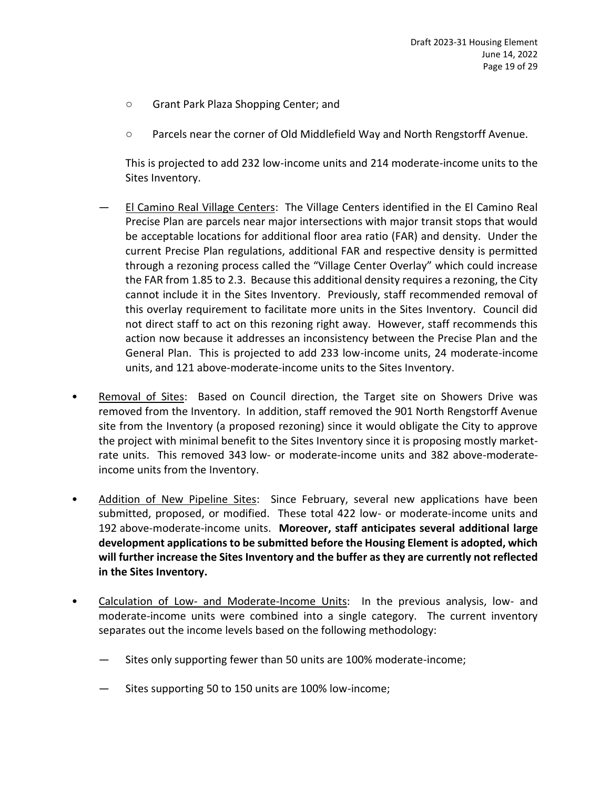- Grant Park Plaza Shopping Center; and
- Parcels near the corner of Old Middlefield Way and North Rengstorff Avenue.

This is projected to add 232 low-income units and 214 moderate-income units to the Sites Inventory.

- El Camino Real Village Centers: The Village Centers identified in the El Camino Real Precise Plan are parcels near major intersections with major transit stops that would be acceptable locations for additional floor area ratio (FAR) and density. Under the current Precise Plan regulations, additional FAR and respective density is permitted through a rezoning process called the "Village Center Overlay" which could increase the FAR from 1.85 to 2.3. Because this additional density requires a rezoning, the City cannot include it in the Sites Inventory. Previously, staff recommended removal of this overlay requirement to facilitate more units in the Sites Inventory. Council did not direct staff to act on this rezoning right away. However, staff recommends this action now because it addresses an inconsistency between the Precise Plan and the General Plan. This is projected to add 233 low-income units, 24 moderate-income units, and 121 above-moderate-income units to the Sites Inventory.
- Removal of Sites: Based on Council direction, the Target site on Showers Drive was removed from the Inventory. In addition, staff removed the 901 North Rengstorff Avenue site from the Inventory (a proposed rezoning) since it would obligate the City to approve the project with minimal benefit to the Sites Inventory since it is proposing mostly marketrate units. This removed 343 low- or moderate-income units and 382 above-moderateincome units from the Inventory.
- Addition of New Pipeline Sites: Since February, several new applications have been submitted, proposed, or modified. These total 422 low- or moderate-income units and 192 above-moderate-income units. **Moreover, staff anticipates several additional large development applications to be submitted before the Housing Element is adopted, which will further increase the Sites Inventory and the buffer as they are currently not reflected in the Sites Inventory.**
- Calculation of Low- and Moderate-Income Units: In the previous analysis, low- and moderate-income units were combined into a single category. The current inventory separates out the income levels based on the following methodology:
	- Sites only supporting fewer than 50 units are 100% moderate-income;
	- Sites supporting 50 to 150 units are 100% low-income;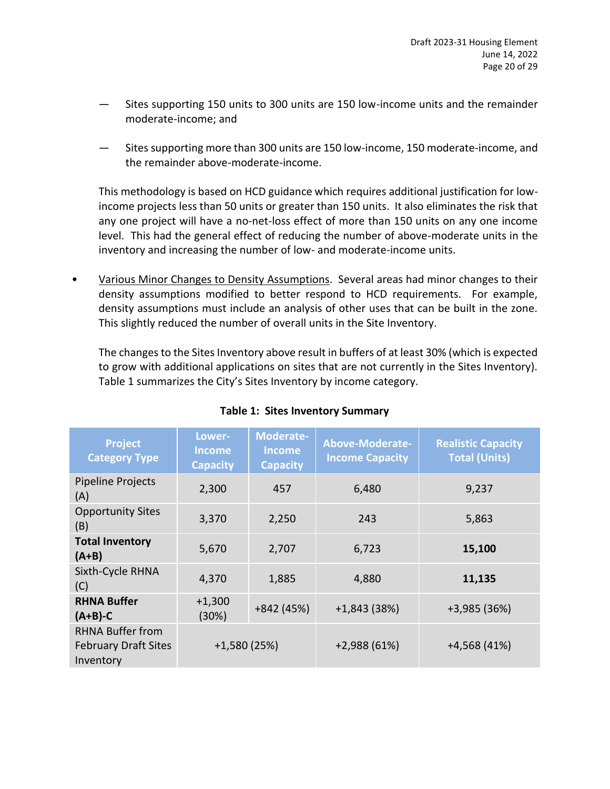- Sites supporting 150 units to 300 units are 150 low-income units and the remainder moderate-income; and
- Sites supporting more than 300 units are 150 low-income, 150 moderate-income, and the remainder above-moderate-income.

This methodology is based on HCD guidance which requires additional justification for lowincome projects less than 50 units or greater than 150 units. It also eliminates the risk that any one project will have a no-net-loss effect of more than 150 units on any one income level. This had the general effect of reducing the number of above-moderate units in the inventory and increasing the number of low- and moderate-income units.

• Various Minor Changes to Density Assumptions. Several areas had minor changes to their density assumptions modified to better respond to HCD requirements. For example, density assumptions must include an analysis of other uses that can be built in the zone. This slightly reduced the number of overall units in the Site Inventory.

The changes to the Sites Inventory above result in buffers of at least 30% (which is expected to grow with additional applications on sites that are not currently in the Sites Inventory). Table 1 summarizes the City's Sites Inventory by income category.

| <b>Project</b><br><b>Category Type</b>                                               | Lower-<br><b>Income</b><br><b>Capacity</b> | Moderate-<br><b>Income</b><br><b>Capacity</b> | <b>Above-Moderate-</b><br><b>Income Capacity</b> | <b>Realistic Capacity</b><br><b>Total (Units)</b> |
|--------------------------------------------------------------------------------------|--------------------------------------------|-----------------------------------------------|--------------------------------------------------|---------------------------------------------------|
| <b>Pipeline Projects</b><br>(A)                                                      | 2,300                                      | 457                                           | 6,480                                            | 9,237                                             |
| <b>Opportunity Sites</b><br>(B)                                                      | 3,370                                      | 2,250                                         | 243                                              | 5,863                                             |
| <b>Total Inventory</b><br>$(A+B)$                                                    | 5,670                                      | 2,707                                         | 6,723                                            | 15,100                                            |
| Sixth-Cycle RHNA<br>(C)                                                              | 4,370                                      | 1,885                                         | 4,880                                            | 11,135                                            |
| <b>RHNA Buffer</b><br>$(A+B)-C$                                                      | $+1,300$<br>(30%)                          | +842 (45%)                                    | $+1,843(38%)$                                    | +3,985 (36%)                                      |
| <b>RHNA Buffer from</b><br>$+1,580(25%)$<br><b>February Draft Sites</b><br>Inventory |                                            | $+2,988(61%)$                                 | $+4,568(41%)$                                    |                                                   |

# **Table 1: Sites Inventory Summary**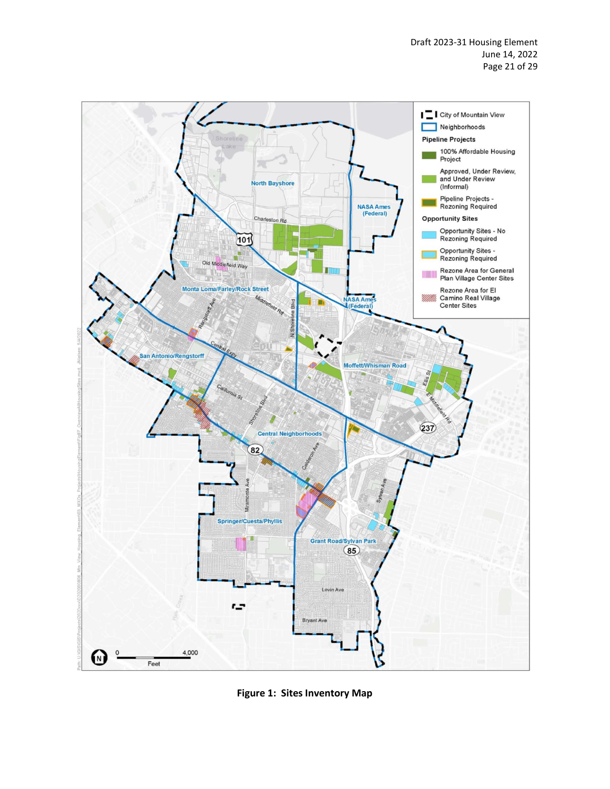

**Figure 1: Sites Inventory Map**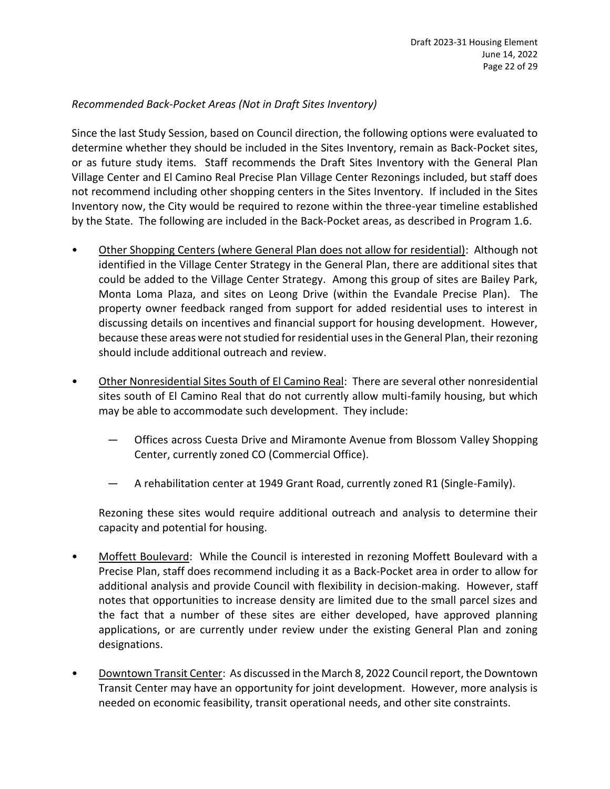# *Recommended Back-Pocket Areas (Not in Draft Sites Inventory)*

Since the last Study Session, based on Council direction, the following options were evaluated to determine whether they should be included in the Sites Inventory, remain as Back-Pocket sites, or as future study items. Staff recommends the Draft Sites Inventory with the General Plan Village Center and El Camino Real Precise Plan Village Center Rezonings included, but staff does not recommend including other shopping centers in the Sites Inventory. If included in the Sites Inventory now, the City would be required to rezone within the three-year timeline established by the State. The following are included in the Back-Pocket areas, as described in Program 1.6.

- Other Shopping Centers (where General Plan does not allow for residential): Although not identified in the Village Center Strategy in the General Plan, there are additional sites that could be added to the Village Center Strategy. Among this group of sites are Bailey Park, Monta Loma Plaza, and sites on Leong Drive (within the Evandale Precise Plan). The property owner feedback ranged from support for added residential uses to interest in discussing details on incentives and financial support for housing development. However, because these areas were not studied for residential uses in the General Plan, their rezoning should include additional outreach and review.
- Other Nonresidential Sites South of El Camino Real: There are several other nonresidential sites south of El Camino Real that do not currently allow multi-family housing, but which may be able to accommodate such development. They include:
	- Offices across Cuesta Drive and Miramonte Avenue from Blossom Valley Shopping Center, currently zoned CO (Commercial Office).
	- A rehabilitation center at 1949 Grant Road, currently zoned R1 (Single-Family).

Rezoning these sites would require additional outreach and analysis to determine their capacity and potential for housing.

- Moffett Boulevard: While the Council is interested in rezoning Moffett Boulevard with a Precise Plan, staff does recommend including it as a Back-Pocket area in order to allow for additional analysis and provide Council with flexibility in decision-making. However, staff notes that opportunities to increase density are limited due to the small parcel sizes and the fact that a number of these sites are either developed, have approved planning applications, or are currently under review under the existing General Plan and zoning designations.
- Downtown Transit Center: As discussed in the March 8, 2022 Council report, the Downtown Transit Center may have an opportunity for joint development. However, more analysis is needed on economic feasibility, transit operational needs, and other site constraints.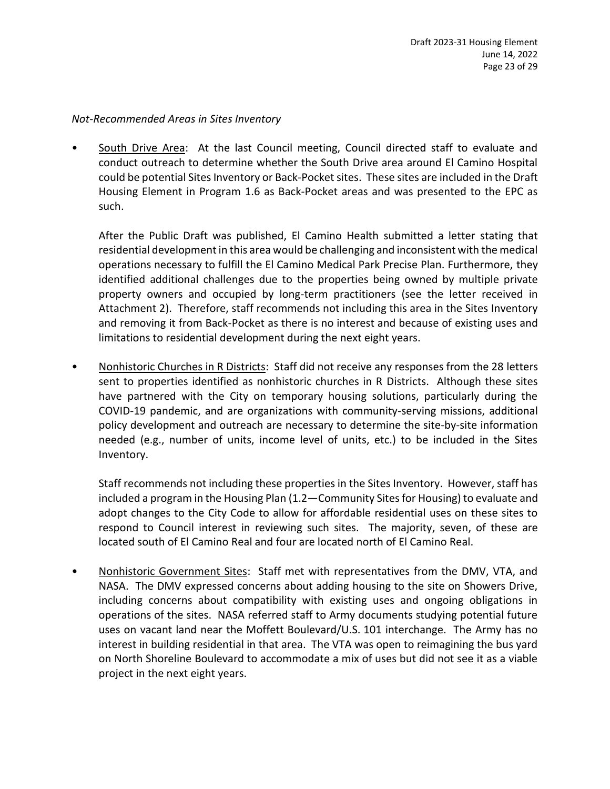#### *Not-Recommended Areas in Sites Inventory*

South Drive Area: At the last Council meeting, Council directed staff to evaluate and conduct outreach to determine whether the South Drive area around El Camino Hospital could be potential Sites Inventory or Back-Pocket sites. These sites are included in the Draft Housing Element in Program 1.6 as Back-Pocket areas and was presented to the EPC as such.

After the Public Draft was published, El Camino Health submitted a letter stating that residential development in this area would be challenging and inconsistent with the medical operations necessary to fulfill the El Camino Medical Park Precise Plan. Furthermore, they identified additional challenges due to the properties being owned by multiple private property owners and occupied by long-term practitioners (see the letter received in Attachment 2). Therefore, staff recommends not including this area in the Sites Inventory and removing it from Back-Pocket as there is no interest and because of existing uses and limitations to residential development during the next eight years.

• Nonhistoric Churches in R Districts: Staff did not receive any responses from the 28 letters sent to properties identified as nonhistoric churches in R Districts. Although these sites have partnered with the City on temporary housing solutions, particularly during the COVID-19 pandemic, and are organizations with community-serving missions, additional policy development and outreach are necessary to determine the site-by-site information needed (e.g., number of units, income level of units, etc.) to be included in the Sites Inventory.

Staff recommends not including these properties in the Sites Inventory. However, staff has included a program in the Housing Plan (1.2—Community Sites for Housing) to evaluate and adopt changes to the City Code to allow for affordable residential uses on these sites to respond to Council interest in reviewing such sites. The majority, seven, of these are located south of El Camino Real and four are located north of El Camino Real.

• Nonhistoric Government Sites: Staff met with representatives from the DMV, VTA, and NASA. The DMV expressed concerns about adding housing to the site on Showers Drive, including concerns about compatibility with existing uses and ongoing obligations in operations of the sites. NASA referred staff to Army documents studying potential future uses on vacant land near the Moffett Boulevard/U.S. 101 interchange. The Army has no interest in building residential in that area. The VTA was open to reimagining the bus yard on North Shoreline Boulevard to accommodate a mix of uses but did not see it as a viable project in the next eight years.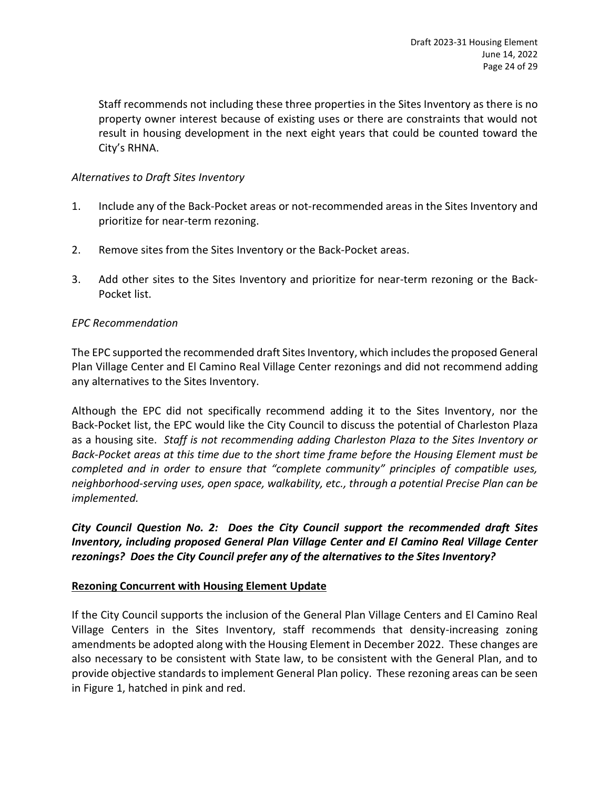Staff recommends not including these three properties in the Sites Inventory as there is no property owner interest because of existing uses or there are constraints that would not result in housing development in the next eight years that could be counted toward the City's RHNA.

# *Alternatives to Draft Sites Inventory*

- 1. Include any of the Back-Pocket areas or not-recommended areas in the Sites Inventory and prioritize for near-term rezoning.
- 2. Remove sites from the Sites Inventory or the Back-Pocket areas.
- 3. Add other sites to the Sites Inventory and prioritize for near-term rezoning or the Back-Pocket list.

# *EPC Recommendation*

The EPC supported the recommended draft Sites Inventory, which includes the proposed General Plan Village Center and El Camino Real Village Center rezonings and did not recommend adding any alternatives to the Sites Inventory.

Although the EPC did not specifically recommend adding it to the Sites Inventory, nor the Back-Pocket list, the EPC would like the City Council to discuss the potential of Charleston Plaza as a housing site. *Staff is not recommending adding Charleston Plaza to the Sites Inventory or Back-Pocket areas at this time due to the short time frame before the Housing Element must be completed and in order to ensure that "complete community" principles of compatible uses, neighborhood-serving uses, open space, walkability, etc., through a potential Precise Plan can be implemented.*

*City Council Question No. 2: Does the City Council support the recommended draft Sites Inventory, including proposed General Plan Village Center and El Camino Real Village Center rezonings? Does the City Council prefer any of the alternatives to the Sites Inventory?*

# **Rezoning Concurrent with Housing Element Update**

If the City Council supports the inclusion of the General Plan Village Centers and El Camino Real Village Centers in the Sites Inventory, staff recommends that density-increasing zoning amendments be adopted along with the Housing Element in December 2022. These changes are also necessary to be consistent with State law, to be consistent with the General Plan, and to provide objective standards to implement General Plan policy. These rezoning areas can be seen in Figure 1, hatched in pink and red.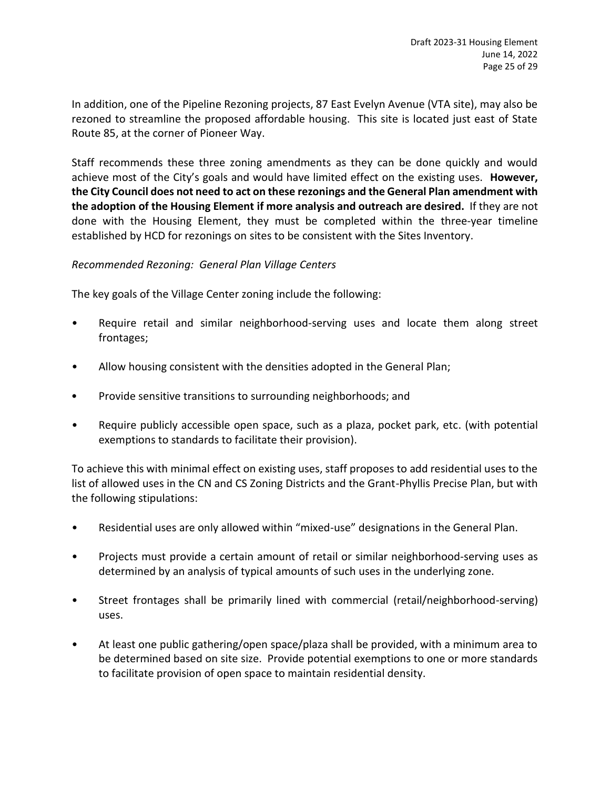In addition, one of the Pipeline Rezoning projects, 87 East Evelyn Avenue (VTA site), may also be rezoned to streamline the proposed affordable housing. This site is located just east of State Route 85, at the corner of Pioneer Way.

Staff recommends these three zoning amendments as they can be done quickly and would achieve most of the City's goals and would have limited effect on the existing uses. **However, the City Council does not need to act on these rezonings and the General Plan amendment with the adoption of the Housing Element if more analysis and outreach are desired.** If they are not done with the Housing Element, they must be completed within the three-year timeline established by HCD for rezonings on sites to be consistent with the Sites Inventory.

# *Recommended Rezoning: General Plan Village Centers*

The key goals of the Village Center zoning include the following:

- Require retail and similar neighborhood-serving uses and locate them along street frontages;
- Allow housing consistent with the densities adopted in the General Plan;
- Provide sensitive transitions to surrounding neighborhoods; and
- Require publicly accessible open space, such as a plaza, pocket park, etc. (with potential exemptions to standards to facilitate their provision).

To achieve this with minimal effect on existing uses, staff proposes to add residential uses to the list of allowed uses in the CN and CS Zoning Districts and the Grant-Phyllis Precise Plan, but with the following stipulations:

- Residential uses are only allowed within "mixed-use" designations in the General Plan.
- Projects must provide a certain amount of retail or similar neighborhood-serving uses as determined by an analysis of typical amounts of such uses in the underlying zone.
- Street frontages shall be primarily lined with commercial (retail/neighborhood-serving) uses.
- At least one public gathering/open space/plaza shall be provided, with a minimum area to be determined based on site size. Provide potential exemptions to one or more standards to facilitate provision of open space to maintain residential density.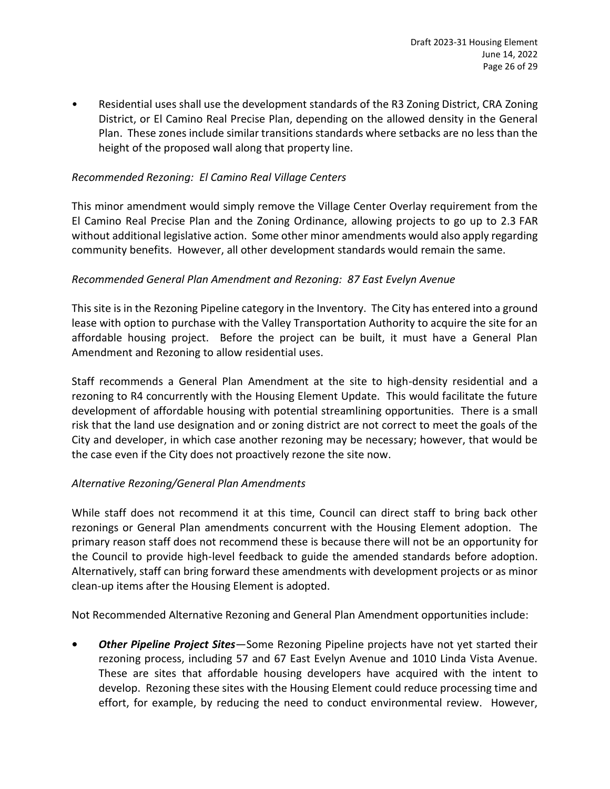• Residential uses shall use the development standards of the R3 Zoning District, CRA Zoning District, or El Camino Real Precise Plan, depending on the allowed density in the General Plan. These zones include similar transitions standards where setbacks are no less than the height of the proposed wall along that property line.

# *Recommended Rezoning: El Camino Real Village Centers*

This minor amendment would simply remove the Village Center Overlay requirement from the El Camino Real Precise Plan and the Zoning Ordinance, allowing projects to go up to 2.3 FAR without additional legislative action. Some other minor amendments would also apply regarding community benefits. However, all other development standards would remain the same.

# *Recommended General Plan Amendment and Rezoning: 87 East Evelyn Avenue*

This site is in the Rezoning Pipeline category in the Inventory. The City has entered into a ground lease with option to purchase with the Valley Transportation Authority to acquire the site for an affordable housing project. Before the project can be built, it must have a General Plan Amendment and Rezoning to allow residential uses.

Staff recommends a General Plan Amendment at the site to high-density residential and a rezoning to R4 concurrently with the Housing Element Update. This would facilitate the future development of affordable housing with potential streamlining opportunities. There is a small risk that the land use designation and or zoning district are not correct to meet the goals of the City and developer, in which case another rezoning may be necessary; however, that would be the case even if the City does not proactively rezone the site now.

# *Alternative Rezoning/General Plan Amendments*

While staff does not recommend it at this time, Council can direct staff to bring back other rezonings or General Plan amendments concurrent with the Housing Element adoption. The primary reason staff does not recommend these is because there will not be an opportunity for the Council to provide high-level feedback to guide the amended standards before adoption. Alternatively, staff can bring forward these amendments with development projects or as minor clean-up items after the Housing Element is adopted.

Not Recommended Alternative Rezoning and General Plan Amendment opportunities include:

**•** *Other Pipeline Project Sites*—Some Rezoning Pipeline projects have not yet started their rezoning process, including 57 and 67 East Evelyn Avenue and 1010 Linda Vista Avenue. These are sites that affordable housing developers have acquired with the intent to develop. Rezoning these sites with the Housing Element could reduce processing time and effort, for example, by reducing the need to conduct environmental review. However,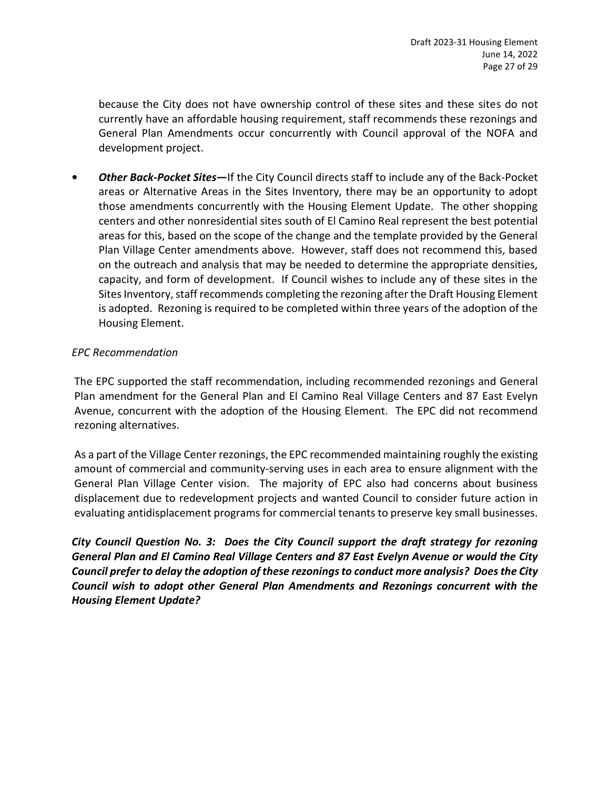because the City does not have ownership control of these sites and these sites do not currently have an affordable housing requirement, staff recommends these rezonings and General Plan Amendments occur concurrently with Council approval of the NOFA and development project.

**•** *Other Back-Pocket Sites—*If the City Council directs staff to include any of the Back-Pocket areas or Alternative Areas in the Sites Inventory, there may be an opportunity to adopt those amendments concurrently with the Housing Element Update. The other shopping centers and other nonresidential sites south of El Camino Real represent the best potential areas for this, based on the scope of the change and the template provided by the General Plan Village Center amendments above. However, staff does not recommend this, based on the outreach and analysis that may be needed to determine the appropriate densities, capacity, and form of development. If Council wishes to include any of these sites in the Sites Inventory, staff recommends completing the rezoning after the Draft Housing Element is adopted. Rezoning is required to be completed within three years of the adoption of the Housing Element.

# *EPC Recommendation*

The EPC supported the staff recommendation, including recommended rezonings and General Plan amendment for the General Plan and El Camino Real Village Centers and 87 East Evelyn Avenue, concurrent with the adoption of the Housing Element. The EPC did not recommend rezoning alternatives.

As a part of the Village Center rezonings, the EPC recommended maintaining roughly the existing amount of commercial and community-serving uses in each area to ensure alignment with the General Plan Village Center vision. The majority of EPC also had concerns about business displacement due to redevelopment projects and wanted Council to consider future action in evaluating antidisplacement programs for commercial tenants to preserve key small businesses.

*City Council Question No. 3: Does the City Council support the draft strategy for rezoning General Plan and El Camino Real Village Centers and 87 East Evelyn Avenue or would the City Council prefer to delay the adoption of these rezonings to conduct more analysis? Does the City Council wish to adopt other General Plan Amendments and Rezonings concurrent with the Housing Element Update?*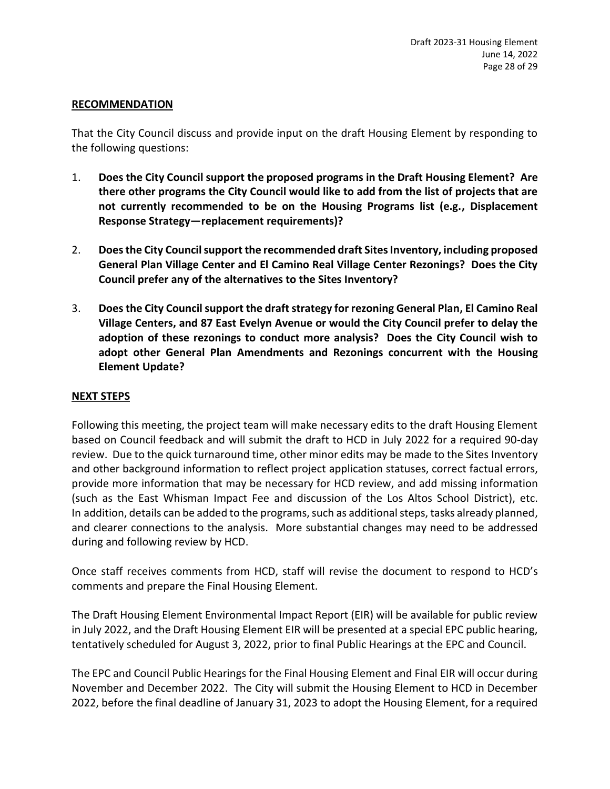#### **RECOMMENDATION**

That the City Council discuss and provide input on the draft Housing Element by responding to the following questions:

- 1. **Does the City Council support the proposed programs in the Draft Housing Element? Are there other programs the City Council would like to add from the list of projects that are not currently recommended to be on the Housing Programs list (e.g., Displacement Response Strategy—replacement requirements)?**
- 2. **Does the City Council support the recommended draft Sites Inventory, including proposed General Plan Village Center and El Camino Real Village Center Rezonings? Does the City Council prefer any of the alternatives to the Sites Inventory?**
- 3. **Does the City Council support the draft strategy for rezoning General Plan, El Camino Real Village Centers, and 87 East Evelyn Avenue or would the City Council prefer to delay the adoption of these rezonings to conduct more analysis? Does the City Council wish to adopt other General Plan Amendments and Rezonings concurrent with the Housing Element Update?**

# **NEXT STEPS**

Following this meeting, the project team will make necessary edits to the draft Housing Element based on Council feedback and will submit the draft to HCD in July 2022 for a required 90-day review. Due to the quick turnaround time, other minor edits may be made to the Sites Inventory and other background information to reflect project application statuses, correct factual errors, provide more information that may be necessary for HCD review, and add missing information (such as the East Whisman Impact Fee and discussion of the Los Altos School District), etc. In addition, details can be added to the programs, such as additional steps, tasks already planned, and clearer connections to the analysis. More substantial changes may need to be addressed during and following review by HCD.

Once staff receives comments from HCD, staff will revise the document to respond to HCD's comments and prepare the Final Housing Element.

The Draft Housing Element Environmental Impact Report (EIR) will be available for public review in July 2022, and the Draft Housing Element EIR will be presented at a special EPC public hearing, tentatively scheduled for August 3, 2022, prior to final Public Hearings at the EPC and Council.

The EPC and Council Public Hearings for the Final Housing Element and Final EIR will occur during November and December 2022. The City will submit the Housing Element to HCD in December 2022, before the final deadline of January 31, 2023 to adopt the Housing Element, for a required